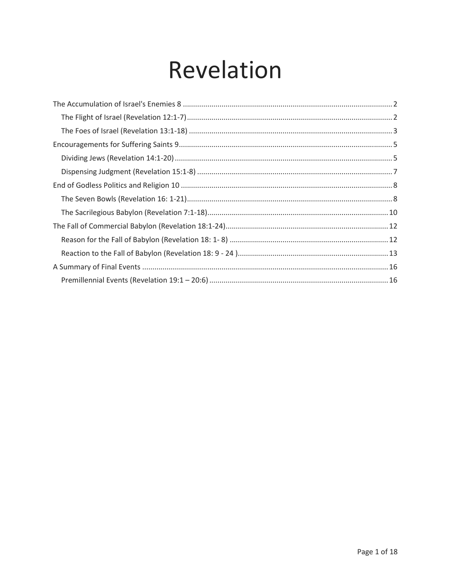# Revelation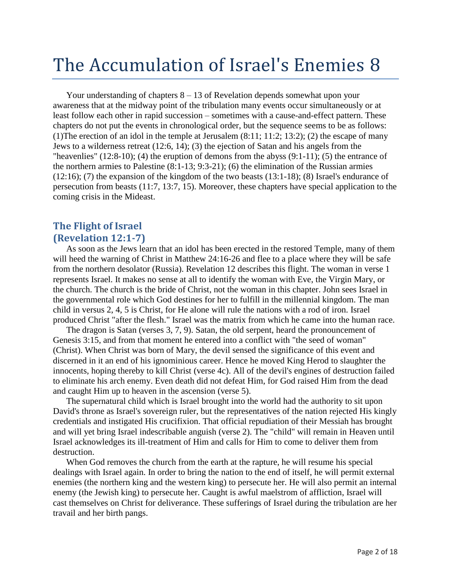## <span id="page-1-0"></span>The Accumulation of Israel's Enemies 8

Your understanding of chapters  $8 - 13$  of Revelation depends somewhat upon your awareness that at the midway point of the tribulation many events occur simultaneously or at least follow each other in rapid succession – sometimes with a cause-and-effect pattern. These chapters do not put the events in chronological order, but the sequence seems to be as follows: (1)The erection of an idol in the temple at Jerusalem (8:11; 11:2; 13:2); (2) the escape of many Jews to a wilderness retreat (12:6, 14); (3) the ejection of Satan and his angels from the "heavenlies"  $(12:8-10)$ ;  $(4)$  the eruption of demons from the abyss  $(9:1-11)$ ;  $(5)$  the entrance of the northern armies to Palestine (8:1-13; 9:3-21); (6) the elimination of the Russian armies (12:16); (7) the expansion of the kingdom of the two beasts (13:1-18); (8) Israel's endurance of persecution from beasts (11:7, 13:7, 15). Moreover, these chapters have special application to the coming crisis in the Mideast.

#### <span id="page-1-1"></span>**The Flight of Israel (Revelation 12:1-7)**

As soon as the Jews learn that an idol has been erected in the restored Temple, many of them will heed the warning of Christ in Matthew 24:16-26 and flee to a place where they will be safe from the northern desolator (Russia). Revelation 12 describes this flight. The woman in verse 1 represents Israel. It makes no sense at all to identify the woman with Eve, the Virgin Mary, or the church. The church is the bride of Christ, not the woman in this chapter. John sees Israel in the governmental role which God destines for her to fulfill in the millennial kingdom. The man child in versus 2, 4, 5 is Christ, for He alone will rule the nations with a rod of iron. Israel produced Christ "after the flesh." Israel was the matrix from which he came into the human race.

The dragon is Satan (verses 3, 7, 9). Satan, the old serpent, heard the pronouncement of Genesis 3:15, and from that moment he entered into a conflict with "the seed of woman" (Christ). When Christ was born of Mary, the devil sensed the significance of this event and discerned in it an end of his ignominious career. Hence he moved King Herod to slaughter the innocents, hoping thereby to kill Christ (verse 4c). All of the devil's engines of destruction failed to eliminate his arch enemy. Even death did not defeat Him, for God raised Him from the dead and caught Him up to heaven in the ascension (verse 5).

The supernatural child which is Israel brought into the world had the authority to sit upon David's throne as Israel's sovereign ruler, but the representatives of the nation rejected His kingly credentials and instigated His crucifixion. That official repudiation of their Messiah has brought and will yet bring Israel indescribable anguish (verse 2). The "child" will remain in Heaven until Israel acknowledges its ill-treatment of Him and calls for Him to come to deliver them from destruction.

When God removes the church from the earth at the rapture, he will resume his special dealings with Israel again. In order to bring the nation to the end of itself, he will permit external enemies (the northern king and the western king) to persecute her. He will also permit an internal enemy (the Jewish king) to persecute her. Caught is awful maelstrom of affliction, Israel will cast themselves on Christ for deliverance. These sufferings of Israel during the tribulation are her travail and her birth pangs.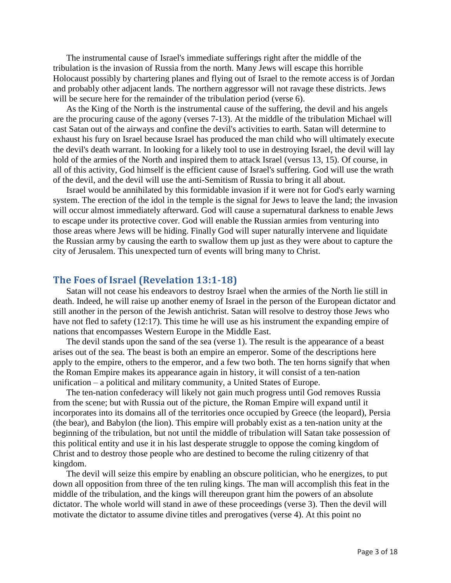The instrumental cause of Israel's immediate sufferings right after the middle of the tribulation is the invasion of Russia from the north. Many Jews will escape this horrible Holocaust possibly by chartering planes and flying out of Israel to the remote access is of Jordan and probably other adjacent lands. The northern aggressor will not ravage these districts. Jews will be secure here for the remainder of the tribulation period (verse 6).

As the King of the North is the instrumental cause of the suffering, the devil and his angels are the procuring cause of the agony (verses 7-13). At the middle of the tribulation Michael will cast Satan out of the airways and confine the devil's activities to earth. Satan will determine to exhaust his fury on Israel because Israel has produced the man child who will ultimately execute the devil's death warrant. In looking for a likely tool to use in destroying Israel, the devil will lay hold of the armies of the North and inspired them to attack Israel (versus 13, 15). Of course, in all of this activity, God himself is the efficient cause of Israel's suffering. God will use the wrath of the devil, and the devil will use the anti-Semitism of Russia to bring it all about.

Israel would be annihilated by this formidable invasion if it were not for God's early warning system. The erection of the idol in the temple is the signal for Jews to leave the land; the invasion will occur almost immediately afterward. God will cause a supernatural darkness to enable Jews to escape under its protective cover. God will enable the Russian armies from venturing into those areas where Jews will be hiding. Finally God will super naturally intervene and liquidate the Russian army by causing the earth to swallow them up just as they were about to capture the city of Jerusalem. This unexpected turn of events will bring many to Christ.

#### <span id="page-2-0"></span>**The Foes of Israel (Revelation 13:1-18)**

Satan will not cease his endeavors to destroy Israel when the armies of the North lie still in death. Indeed, he will raise up another enemy of Israel in the person of the European dictator and still another in the person of the Jewish antichrist. Satan will resolve to destroy those Jews who have not fled to safety (12:17). This time he will use as his instrument the expanding empire of nations that encompasses Western Europe in the Middle East.

The devil stands upon the sand of the sea (verse 1). The result is the appearance of a beast arises out of the sea. The beast is both an empire an emperor. Some of the descriptions here apply to the empire, others to the emperor, and a few two both. The ten horns signify that when the Roman Empire makes its appearance again in history, it will consist of a ten-nation unification – a political and military community, a United States of Europe.

The ten-nation confederacy will likely not gain much progress until God removes Russia from the scene; but with Russia out of the picture, the Roman Empire will expand until it incorporates into its domains all of the territories once occupied by Greece (the leopard), Persia (the bear), and Babylon (the lion). This empire will probably exist as a ten-nation unity at the beginning of the tribulation, but not until the middle of tribulation will Satan take possession of this political entity and use it in his last desperate struggle to oppose the coming kingdom of Christ and to destroy those people who are destined to become the ruling citizenry of that kingdom.

The devil will seize this empire by enabling an obscure politician, who he energizes, to put down all opposition from three of the ten ruling kings. The man will accomplish this feat in the middle of the tribulation, and the kings will thereupon grant him the powers of an absolute dictator. The whole world will stand in awe of these proceedings (verse 3). Then the devil will motivate the dictator to assume divine titles and prerogatives (verse 4). At this point no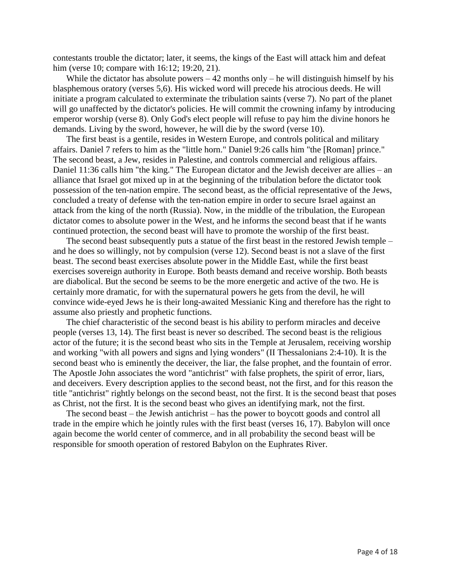contestants trouble the dictator; later, it seems, the kings of the East will attack him and defeat him (verse 10; compare with 16:12; 19:20, 21).

While the dictator has absolute powers  $-42$  months only – he will distinguish himself by his blasphemous oratory (verses 5,6). His wicked word will precede his atrocious deeds. He will initiate a program calculated to exterminate the tribulation saints (verse 7). No part of the planet will go unaffected by the dictator's policies. He will commit the crowning infamy by introducing emperor worship (verse 8). Only God's elect people will refuse to pay him the divine honors he demands. Living by the sword, however, he will die by the sword (verse 10).

The first beast is a gentile, resides in Western Europe, and controls political and military affairs. Daniel 7 refers to him as the "little horn." Daniel 9:26 calls him "the [Roman] prince." The second beast, a Jew, resides in Palestine, and controls commercial and religious affairs. Daniel 11:36 calls him "the king." The European dictator and the Jewish deceiver are allies – an alliance that Israel got mixed up in at the beginning of the tribulation before the dictator took possession of the ten-nation empire. The second beast, as the official representative of the Jews, concluded a treaty of defense with the ten-nation empire in order to secure Israel against an attack from the king of the north (Russia). Now, in the middle of the tribulation, the European dictator comes to absolute power in the West, and he informs the second beast that if he wants continued protection, the second beast will have to promote the worship of the first beast.

The second beast subsequently puts a statue of the first beast in the restored Jewish temple – and he does so willingly, not by compulsion (verse 12). Second beast is not a slave of the first beast. The second beast exercises absolute power in the Middle East, while the first beast exercises sovereign authority in Europe. Both beasts demand and receive worship. Both beasts are diabolical. But the second be seems to be the more energetic and active of the two. He is certainly more dramatic, for with the supernatural powers he gets from the devil, he will convince wide-eyed Jews he is their long-awaited Messianic King and therefore has the right to assume also priestly and prophetic functions.

The chief characteristic of the second beast is his ability to perform miracles and deceive people (verses 13, 14). The first beast is never so described. The second beast is the religious actor of the future; it is the second beast who sits in the Temple at Jerusalem, receiving worship and working "with all powers and signs and lying wonders" (II Thessalonians 2:4-10). It is the second beast who is eminently the deceiver, the liar, the false prophet, and the fountain of error. The Apostle John associates the word "antichrist" with false prophets, the spirit of error, liars, and deceivers. Every description applies to the second beast, not the first, and for this reason the title "antichrist" rightly belongs on the second beast, not the first. It is the second beast that poses as Christ, not the first. It is the second beast who gives an identifying mark, not the first.

The second beast – the Jewish antichrist – has the power to boycott goods and control all trade in the empire which he jointly rules with the first beast (verses 16, 17). Babylon will once again become the world center of commerce, and in all probability the second beast will be responsible for smooth operation of restored Babylon on the Euphrates River.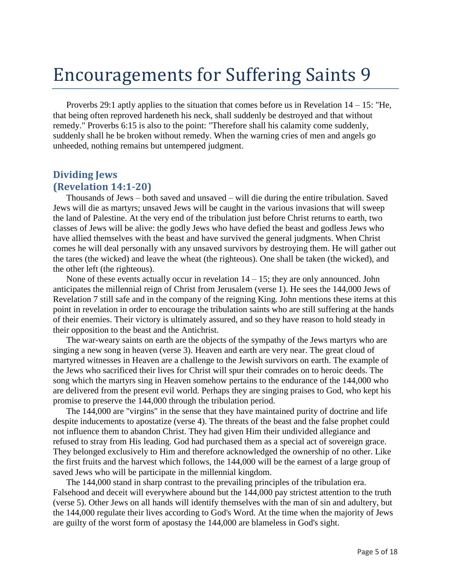## <span id="page-4-0"></span>Encouragements for Suffering Saints 9

Proverbs 29:1 aptly applies to the situation that comes before us in Revelation  $14 - 15$ : "He, that being often reproved hardeneth his neck, shall suddenly be destroyed and that without remedy." Proverbs 6:15 is also to the point: "Therefore shall his calamity come suddenly, suddenly shall he be broken without remedy. When the warning cries of men and angels go unheeded, nothing remains but untempered judgment.

#### <span id="page-4-1"></span>**Dividing Jews (Revelation 14:1-20)**

Thousands of Jews – both saved and unsaved – will die during the entire tribulation. Saved Jews will die as martyrs; unsaved Jews will be caught in the various invasions that will sweep the land of Palestine. At the very end of the tribulation just before Christ returns to earth, two classes of Jews will be alive: the godly Jews who have defied the beast and godless Jews who have allied themselves with the beast and have survived the general judgments. When Christ comes he will deal personally with any unsaved survivors by destroying them. He will gather out the tares (the wicked) and leave the wheat (the righteous). One shall be taken (the wicked), and the other left (the righteous).

None of these events actually occur in revelation  $14 - 15$ ; they are only announced. John anticipates the millennial reign of Christ from Jerusalem (verse 1). He sees the 144,000 Jews of Revelation 7 still safe and in the company of the reigning King. John mentions these items at this point in revelation in order to encourage the tribulation saints who are still suffering at the hands of their enemies. Their victory is ultimately assured, and so they have reason to hold steady in their opposition to the beast and the Antichrist.

The war-weary saints on earth are the objects of the sympathy of the Jews martyrs who are singing a new song in heaven (verse 3). Heaven and earth are very near. The great cloud of martyred witnesses in Heaven are a challenge to the Jewish survivors on earth. The example of the Jews who sacrificed their lives for Christ will spur their comrades on to heroic deeds. The song which the martyrs sing in Heaven somehow pertains to the endurance of the 144,000 who are delivered from the present evil world. Perhaps they are singing praises to God, who kept his promise to preserve the 144,000 through the tribulation period.

The 144,000 are "virgins" in the sense that they have maintained purity of doctrine and life despite inducements to apostatize (verse 4). The threats of the beast and the false prophet could not influence them to abandon Christ. They had given Him their undivided allegiance and refused to stray from His leading. God had purchased them as a special act of sovereign grace. They belonged exclusively to Him and therefore acknowledged the ownership of no other. Like the first fruits and the harvest which follows, the 144,000 will be the earnest of a large group of saved Jews who will be participate in the millennial kingdom.

The 144,000 stand in sharp contrast to the prevailing principles of the tribulation era. Falsehood and deceit will everywhere abound but the 144,000 pay strictest attention to the truth (verse 5). Other Jews on all hands will identify themselves with the man of sin and adultery, but the 144,000 regulate their lives according to God's Word. At the time when the majority of Jews are guilty of the worst form of apostasy the 144,000 are blameless in God's sight.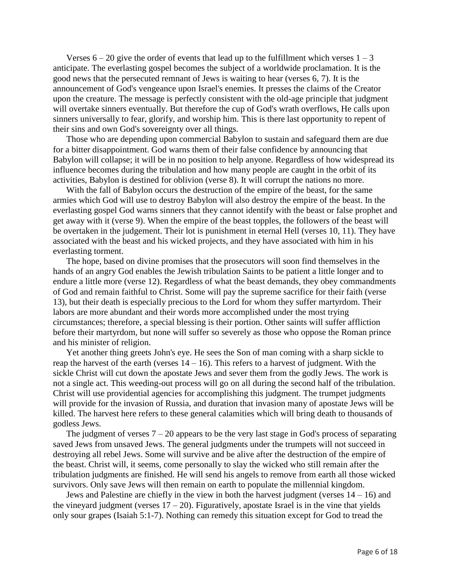Verses  $6 - 20$  give the order of events that lead up to the fulfillment which verses  $1 - 3$ anticipate. The everlasting gospel becomes the subject of a worldwide proclamation. It is the good news that the persecuted remnant of Jews is waiting to hear (verses 6, 7). It is the announcement of God's vengeance upon Israel's enemies. It presses the claims of the Creator upon the creature. The message is perfectly consistent with the old-age principle that judgment will overtake sinners eventually. But therefore the cup of God's wrath overflows, He calls upon sinners universally to fear, glorify, and worship him. This is there last opportunity to repent of their sins and own God's sovereignty over all things.

Those who are depending upon commercial Babylon to sustain and safeguard them are due for a bitter disappointment. God warns them of their false confidence by announcing that Babylon will collapse; it will be in no position to help anyone. Regardless of how widespread its influence becomes during the tribulation and how many people are caught in the orbit of its activities, Babylon is destined for oblivion (verse 8). It will corrupt the nations no more.

With the fall of Babylon occurs the destruction of the empire of the beast, for the same armies which God will use to destroy Babylon will also destroy the empire of the beast. In the everlasting gospel God warns sinners that they cannot identify with the beast or false prophet and get away with it (verse 9). When the empire of the beast topples, the followers of the beast will be overtaken in the judgement. Their lot is punishment in eternal Hell (verses 10, 11). They have associated with the beast and his wicked projects, and they have associated with him in his everlasting torment.

The hope, based on divine promises that the prosecutors will soon find themselves in the hands of an angry God enables the Jewish tribulation Saints to be patient a little longer and to endure a little more (verse 12). Regardless of what the beast demands, they obey commandments of God and remain faithful to Christ. Some will pay the supreme sacrifice for their faith (verse 13), but their death is especially precious to the Lord for whom they suffer martyrdom. Their labors are more abundant and their words more accomplished under the most trying circumstances; therefore, a special blessing is their portion. Other saints will suffer affliction before their martyrdom, but none will suffer so severely as those who oppose the Roman prince and his minister of religion.

Yet another thing greets John's eye. He sees the Son of man coming with a sharp sickle to reap the harvest of the earth (verses  $14 - 16$ ). This refers to a harvest of judgment. With the sickle Christ will cut down the apostate Jews and sever them from the godly Jews. The work is not a single act. This weeding-out process will go on all during the second half of the tribulation. Christ will use providential agencies for accomplishing this judgment. The trumpet judgments will provide for the invasion of Russia, and duration that invasion many of apostate Jews will be killed. The harvest here refers to these general calamities which will bring death to thousands of godless Jews.

The judgment of verses  $7 - 20$  appears to be the very last stage in God's process of separating saved Jews from unsaved Jews. The general judgments under the trumpets will not succeed in destroying all rebel Jews. Some will survive and be alive after the destruction of the empire of the beast. Christ will, it seems, come personally to slay the wicked who still remain after the tribulation judgments are finished. He will send his angels to remove from earth all those wicked survivors. Only save Jews will then remain on earth to populate the millennial kingdom.

Jews and Palestine are chiefly in the view in both the harvest judgment (verses  $14 - 16$ ) and the vineyard judgment (verses  $17 - 20$ ). Figuratively, apostate Israel is in the vine that yields only sour grapes (Isaiah 5:1-7). Nothing can remedy this situation except for God to tread the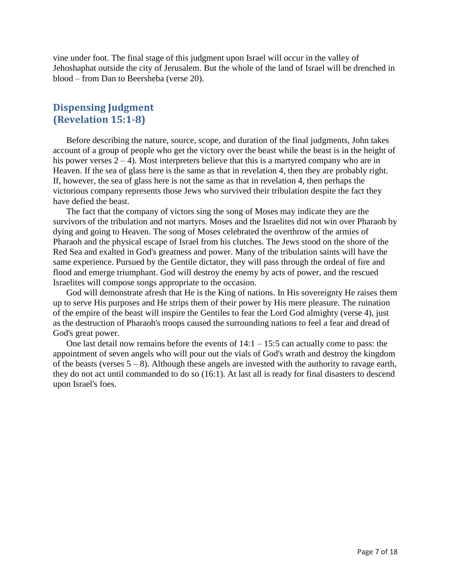vine under foot. The final stage of this judgment upon Israel will occur in the valley of Jehoshaphat outside the city of Jerusalem. But the whole of the land of Israel will be drenched in blood – from Dan to Beersheba (verse 20).

#### <span id="page-6-0"></span>**Dispensing Judgment (Revelation 15:1-8)**

Before describing the nature, source, scope, and duration of the final judgments, John takes account of a group of people who get the victory over the beast while the beast is in the height of his power verses  $2 - 4$ ). Most interpreters believe that this is a martyred company who are in Heaven. If the sea of glass here is the same as that in revelation 4, then they are probably right. If, however, the sea of glass here is not the same as that in revelation 4, then perhaps the victorious company represents those Jews who survived their tribulation despite the fact they have defied the beast.

The fact that the company of victors sing the song of Moses may indicate they are the survivors of the tribulation and not martyrs. Moses and the Israelites did not win over Pharaoh by dying and going to Heaven. The song of Moses celebrated the overthrow of the armies of Pharaoh and the physical escape of Israel from his clutches. The Jews stood on the shore of the Red Sea and exalted in God's greatness and power. Many of the tribulation saints will have the same experience. Pursued by the Gentile dictator, they will pass through the ordeal of fire and flood and emerge triumphant. God will destroy the enemy by acts of power, and the rescued Israelites will compose songs appropriate to the occasion.

God will demonstrate afresh that He is the King of nations. In His sovereignty He raises them up to serve His purposes and He strips them of their power by His mere pleasure. The ruination of the empire of the beast will inspire the Gentiles to fear the Lord God almighty (verse 4), just as the destruction of Pharaoh's troops caused the surrounding nations to feel a fear and dread of God's great power.

One last detail now remains before the events of  $14:1 - 15:5$  can actually come to pass: the appointment of seven angels who will pour out the vials of God's wrath and destroy the kingdom of the beasts (verses  $5 - 8$ ). Although these angels are invested with the authority to ravage earth, they do not act until commanded to do so (16:1). At last all is ready for final disasters to descend upon Israel's foes.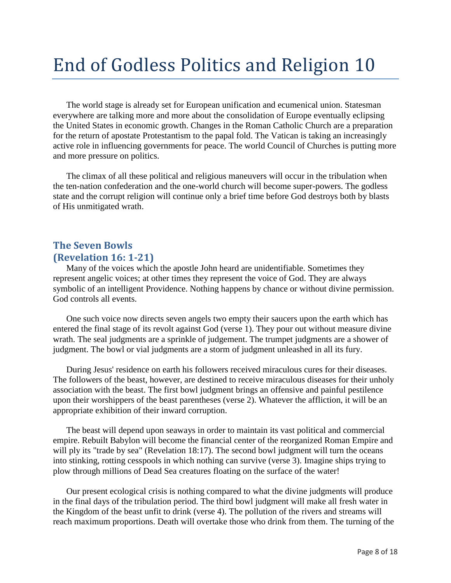# <span id="page-7-0"></span>End of Godless Politics and Religion 10

The world stage is already set for European unification and ecumenical union. Statesman everywhere are talking more and more about the consolidation of Europe eventually eclipsing the United States in economic growth. Changes in the Roman Catholic Church are a preparation for the return of apostate Protestantism to the papal fold. The Vatican is taking an increasingly active role in influencing governments for peace. The world Council of Churches is putting more and more pressure on politics.

The climax of all these political and religious maneuvers will occur in the tribulation when the ten-nation confederation and the one-world church will become super-powers. The godless state and the corrupt religion will continue only a brief time before God destroys both by blasts of His unmitigated wrath.

#### <span id="page-7-1"></span>**The Seven Bowls (Revelation 16: 1-21)**

Many of the voices which the apostle John heard are unidentifiable. Sometimes they represent angelic voices; at other times they represent the voice of God. They are always symbolic of an intelligent Providence. Nothing happens by chance or without divine permission. God controls all events.

One such voice now directs seven angels two empty their saucers upon the earth which has entered the final stage of its revolt against God (verse 1). They pour out without measure divine wrath. The seal judgments are a sprinkle of judgement. The trumpet judgments are a shower of judgment. The bowl or vial judgments are a storm of judgment unleashed in all its fury.

During Jesus' residence on earth his followers received miraculous cures for their diseases. The followers of the beast, however, are destined to receive miraculous diseases for their unholy association with the beast. The first bowl judgment brings an offensive and painful pestilence upon their worshippers of the beast parentheses (verse 2). Whatever the affliction, it will be an appropriate exhibition of their inward corruption.

The beast will depend upon seaways in order to maintain its vast political and commercial empire. Rebuilt Babylon will become the financial center of the reorganized Roman Empire and will ply its "trade by sea" (Revelation 18:17). The second bowl judgment will turn the oceans into stinking, rotting cesspools in which nothing can survive (verse 3). Imagine ships trying to plow through millions of Dead Sea creatures floating on the surface of the water!

Our present ecological crisis is nothing compared to what the divine judgments will produce in the final days of the tribulation period. The third bowl judgment will make all fresh water in the Kingdom of the beast unfit to drink (verse 4). The pollution of the rivers and streams will reach maximum proportions. Death will overtake those who drink from them. The turning of the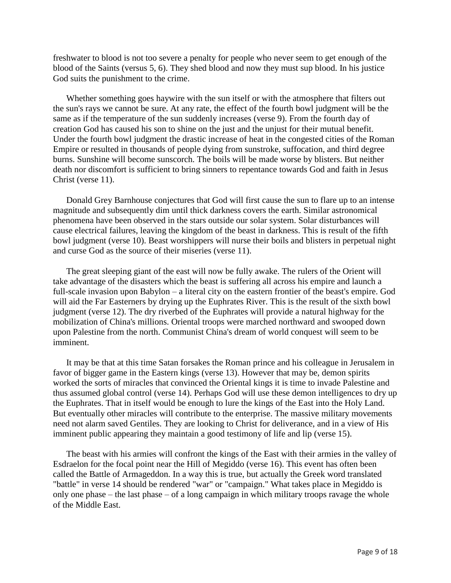freshwater to blood is not too severe a penalty for people who never seem to get enough of the blood of the Saints (versus 5, 6). They shed blood and now they must sup blood. In his justice God suits the punishment to the crime.

Whether something goes haywire with the sun itself or with the atmosphere that filters out the sun's rays we cannot be sure. At any rate, the effect of the fourth bowl judgment will be the same as if the temperature of the sun suddenly increases (verse 9). From the fourth day of creation God has caused his son to shine on the just and the unjust for their mutual benefit. Under the fourth bowl judgment the drastic increase of heat in the congested cities of the Roman Empire or resulted in thousands of people dying from sunstroke, suffocation, and third degree burns. Sunshine will become sunscorch. The boils will be made worse by blisters. But neither death nor discomfort is sufficient to bring sinners to repentance towards God and faith in Jesus Christ (verse 11).

Donald Grey Barnhouse conjectures that God will first cause the sun to flare up to an intense magnitude and subsequently dim until thick darkness covers the earth. Similar astronomical phenomena have been observed in the stars outside our solar system. Solar disturbances will cause electrical failures, leaving the kingdom of the beast in darkness. This is result of the fifth bowl judgment (verse 10). Beast worshippers will nurse their boils and blisters in perpetual night and curse God as the source of their miseries (verse 11).

The great sleeping giant of the east will now be fully awake. The rulers of the Orient will take advantage of the disasters which the beast is suffering all across his empire and launch a full-scale invasion upon Babylon – a literal city on the eastern frontier of the beast's empire. God will aid the Far Easterners by drying up the Euphrates River. This is the result of the sixth bowl judgment (verse 12). The dry riverbed of the Euphrates will provide a natural highway for the mobilization of China's millions. Oriental troops were marched northward and swooped down upon Palestine from the north. Communist China's dream of world conquest will seem to be imminent.

It may be that at this time Satan forsakes the Roman prince and his colleague in Jerusalem in favor of bigger game in the Eastern kings (verse 13). However that may be, demon spirits worked the sorts of miracles that convinced the Oriental kings it is time to invade Palestine and thus assumed global control (verse 14). Perhaps God will use these demon intelligences to dry up the Euphrates. That in itself would be enough to lure the kings of the East into the Holy Land. But eventually other miracles will contribute to the enterprise. The massive military movements need not alarm saved Gentiles. They are looking to Christ for deliverance, and in a view of His imminent public appearing they maintain a good testimony of life and lip (verse 15).

The beast with his armies will confront the kings of the East with their armies in the valley of Esdraelon for the focal point near the Hill of Megiddo (verse 16). This event has often been called the Battle of Armageddon. In a way this is true, but actually the Greek word translated "battle" in verse 14 should be rendered "war" or "campaign." What takes place in Megiddo is only one phase – the last phase – of a long campaign in which military troops ravage the whole of the Middle East.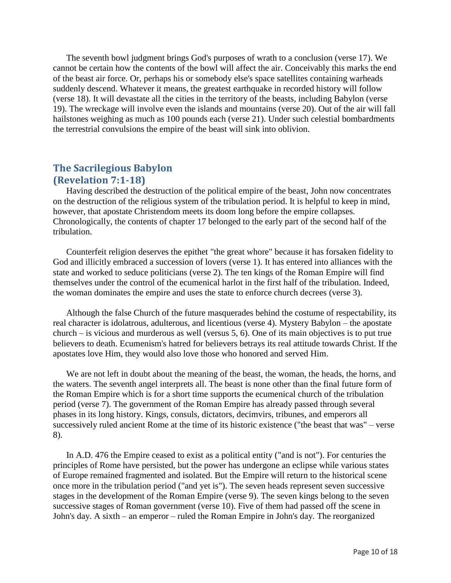The seventh bowl judgment brings God's purposes of wrath to a conclusion (verse 17). We cannot be certain how the contents of the bowl will affect the air. Conceivably this marks the end of the beast air force. Or, perhaps his or somebody else's space satellites containing warheads suddenly descend. Whatever it means, the greatest earthquake in recorded history will follow (verse 18). It will devastate all the cities in the territory of the beasts, including Babylon (verse 19). The wreckage will involve even the islands and mountains (verse 20). Out of the air will fall hailstones weighing as much as 100 pounds each (verse 21). Under such celestial bombardments the terrestrial convulsions the empire of the beast will sink into oblivion.

#### <span id="page-9-0"></span>**The Sacrilegious Babylon (Revelation 7:1-18)**

Having described the destruction of the political empire of the beast, John now concentrates on the destruction of the religious system of the tribulation period. It is helpful to keep in mind, however, that apostate Christendom meets its doom long before the empire collapses. Chronologically, the contents of chapter 17 belonged to the early part of the second half of the tribulation.

Counterfeit religion deserves the epithet "the great whore" because it has forsaken fidelity to God and illicitly embraced a succession of lovers (verse 1). It has entered into alliances with the state and worked to seduce politicians (verse 2). The ten kings of the Roman Empire will find themselves under the control of the ecumenical harlot in the first half of the tribulation. Indeed, the woman dominates the empire and uses the state to enforce church decrees (verse 3).

Although the false Church of the future masquerades behind the costume of respectability, its real character is idolatrous, adulterous, and licentious (verse 4). Mystery Babylon – the apostate church – is vicious and murderous as well (versus 5, 6). One of its main objectives is to put true believers to death. Ecumenism's hatred for believers betrays its real attitude towards Christ. If the apostates love Him, they would also love those who honored and served Him.

We are not left in doubt about the meaning of the beast, the woman, the heads, the horns, and the waters. The seventh angel interprets all. The beast is none other than the final future form of the Roman Empire which is for a short time supports the ecumenical church of the tribulation period (verse 7). The government of the Roman Empire has already passed through several phases in its long history. Kings, consuls, dictators, decimvirs, tribunes, and emperors all successively ruled ancient Rome at the time of its historic existence ("the beast that was" – verse 8).

In A.D. 476 the Empire ceased to exist as a political entity ("and is not"). For centuries the principles of Rome have persisted, but the power has undergone an eclipse while various states of Europe remained fragmented and isolated. But the Empire will return to the historical scene once more in the tribulation period ("and yet is"). The seven heads represent seven successive stages in the development of the Roman Empire (verse 9). The seven kings belong to the seven successive stages of Roman government (verse 10). Five of them had passed off the scene in John's day. A sixth – an emperor – ruled the Roman Empire in John's day. The reorganized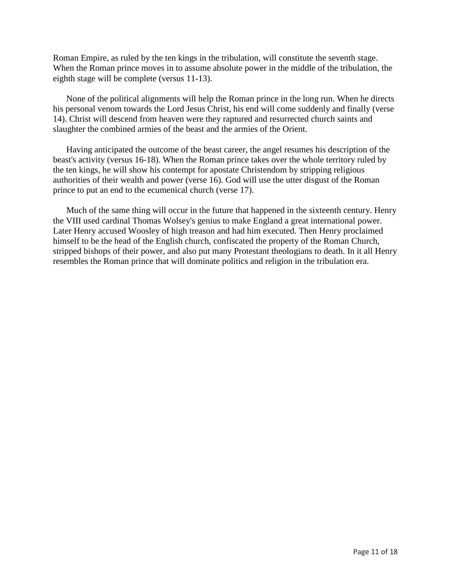Roman Empire, as ruled by the ten kings in the tribulation, will constitute the seventh stage. When the Roman prince moves in to assume absolute power in the middle of the tribulation, the eighth stage will be complete (versus 11-13).

None of the political alignments will help the Roman prince in the long run. When he directs his personal venom towards the Lord Jesus Christ, his end will come suddenly and finally (verse 14). Christ will descend from heaven were they raptured and resurrected church saints and slaughter the combined armies of the beast and the armies of the Orient.

Having anticipated the outcome of the beast career, the angel resumes his description of the beast's activity (versus 16-18). When the Roman prince takes over the whole territory ruled by the ten kings, he will show his contempt for apostate Christendom by stripping religious authorities of their wealth and power (verse 16). God will use the utter disgust of the Roman prince to put an end to the ecumenical church (verse 17).

Much of the same thing will occur in the future that happened in the sixteenth century. Henry the VIII used cardinal Thomas Wolsey's genius to make England a great international power. Later Henry accused Woosley of high treason and had him executed. Then Henry proclaimed himself to be the head of the English church, confiscated the property of the Roman Church, stripped bishops of their power, and also put many Protestant theologians to death. In it all Henry resembles the Roman prince that will dominate politics and religion in the tribulation era.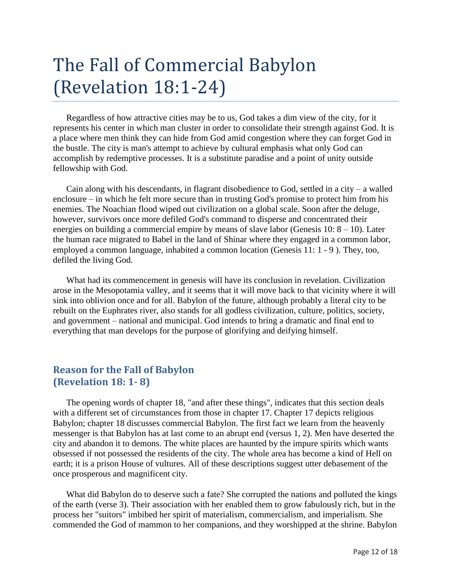# <span id="page-11-0"></span>The Fall of Commercial Babylon (Revelation 18:1-24)

Regardless of how attractive cities may be to us, God takes a dim view of the city, for it represents his center in which man cluster in order to consolidate their strength against God. It is a place where men think they can hide from God amid congestion where they can forget God in the bustle. The city is man's attempt to achieve by cultural emphasis what only God can accomplish by redemptive processes. It is a substitute paradise and a point of unity outside fellowship with God.

Cain along with his descendants, in flagrant disobedience to God, settled in a city – a walled enclosure – in which he felt more secure than in trusting God's promise to protect him from his enemies. The Noachian flood wiped out civilization on a global scale. Soon after the deluge, however, survivors once more defiled God's command to disperse and concentrated their energies on building a commercial empire by means of slave labor (Genesis 10:  $8 - 10$ ). Later the human race migrated to Babel in the land of Shinar where they engaged in a common labor, employed a common language, inhabited a common location (Genesis 11: 1 - 9 ). They, too, defiled the living God.

What had its commencement in genesis will have its conclusion in revelation. Civilization arose in the Mesopotamia valley, and it seems that it will move back to that vicinity where it will sink into oblivion once and for all. Babylon of the future, although probably a literal city to be rebuilt on the Euphrates river, also stands for all godless civilization, culture, politics, society, and government – national and municipal. God intends to bring a dramatic and final end to everything that man develops for the purpose of glorifying and deifying himself.

#### <span id="page-11-1"></span>**Reason for the Fall of Babylon (Revelation 18: 1- 8)**

The opening words of chapter 18, "and after these things", indicates that this section deals with a different set of circumstances from those in chapter 17. Chapter 17 depicts religious Babylon; chapter 18 discusses commercial Babylon. The first fact we learn from the heavenly messenger is that Babylon has at last come to an abrupt end (versus 1, 2). Men have deserted the city and abandon it to demons. The white places are haunted by the impure spirits which wants obsessed if not possessed the residents of the city. The whole area has become a kind of Hell on earth; it is a prison House of vultures. All of these descriptions suggest utter debasement of the once prosperous and magnificent city.

What did Babylon do to deserve such a fate? She corrupted the nations and polluted the kings of the earth (verse 3). Their association with her enabled them to grow fabulously rich, but in the process her "suitors" imbibed her spirit of materialism, commercialism, and imperialism. She commended the God of mammon to her companions, and they worshipped at the shrine. Babylon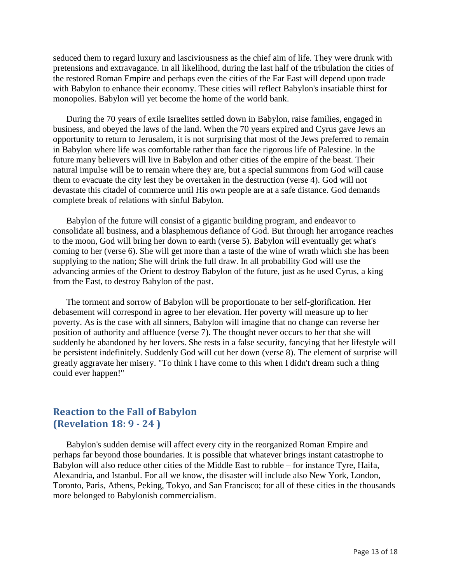seduced them to regard luxury and lasciviousness as the chief aim of life. They were drunk with pretensions and extravagance. In all likelihood, during the last half of the tribulation the cities of the restored Roman Empire and perhaps even the cities of the Far East will depend upon trade with Babylon to enhance their economy. These cities will reflect Babylon's insatiable thirst for monopolies. Babylon will yet become the home of the world bank.

During the 70 years of exile Israelites settled down in Babylon, raise families, engaged in business, and obeyed the laws of the land. When the 70 years expired and Cyrus gave Jews an opportunity to return to Jerusalem, it is not surprising that most of the Jews preferred to remain in Babylon where life was comfortable rather than face the rigorous life of Palestine. In the future many believers will live in Babylon and other cities of the empire of the beast. Their natural impulse will be to remain where they are, but a special summons from God will cause them to evacuate the city lest they be overtaken in the destruction (verse 4). God will not devastate this citadel of commerce until His own people are at a safe distance. God demands complete break of relations with sinful Babylon.

Babylon of the future will consist of a gigantic building program, and endeavor to consolidate all business, and a blasphemous defiance of God. But through her arrogance reaches to the moon, God will bring her down to earth (verse 5). Babylon will eventually get what's coming to her (verse 6). She will get more than a taste of the wine of wrath which she has been supplying to the nation; She will drink the full draw. In all probability God will use the advancing armies of the Orient to destroy Babylon of the future, just as he used Cyrus, a king from the East, to destroy Babylon of the past.

The torment and sorrow of Babylon will be proportionate to her self-glorification. Her debasement will correspond in agree to her elevation. Her poverty will measure up to her poverty. As is the case with all sinners, Babylon will imagine that no change can reverse her position of authority and affluence (verse 7). The thought never occurs to her that she will suddenly be abandoned by her lovers. She rests in a false security, fancying that her lifestyle will be persistent indefinitely. Suddenly God will cut her down (verse 8). The element of surprise will greatly aggravate her misery. "To think I have come to this when I didn't dream such a thing could ever happen!"

#### <span id="page-12-0"></span>**Reaction to the Fall of Babylon (Revelation 18: 9 - 24 )**

Babylon's sudden demise will affect every city in the reorganized Roman Empire and perhaps far beyond those boundaries. It is possible that whatever brings instant catastrophe to Babylon will also reduce other cities of the Middle East to rubble – for instance Tyre, Haifa, Alexandria, and Istanbul. For all we know, the disaster will include also New York, London, Toronto, Paris, Athens, Peking, Tokyo, and San Francisco; for all of these cities in the thousands more belonged to Babylonish commercialism.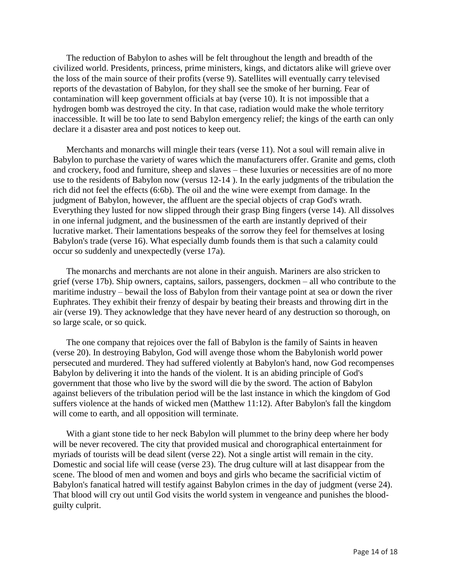The reduction of Babylon to ashes will be felt throughout the length and breadth of the civilized world. Presidents, princess, prime ministers, kings, and dictators alike will grieve over the loss of the main source of their profits (verse 9). Satellites will eventually carry televised reports of the devastation of Babylon, for they shall see the smoke of her burning. Fear of contamination will keep government officials at bay (verse 10). It is not impossible that a hydrogen bomb was destroyed the city. In that case, radiation would make the whole territory inaccessible. It will be too late to send Babylon emergency relief; the kings of the earth can only declare it a disaster area and post notices to keep out.

Merchants and monarchs will mingle their tears (verse 11). Not a soul will remain alive in Babylon to purchase the variety of wares which the manufacturers offer. Granite and gems, cloth and crockery, food and furniture, sheep and slaves – these luxuries or necessities are of no more use to the residents of Babylon now (versus 12-14 ). In the early judgments of the tribulation the rich did not feel the effects (6:6b). The oil and the wine were exempt from damage. In the judgment of Babylon, however, the affluent are the special objects of crap God's wrath. Everything they lusted for now slipped through their grasp Bing fingers (verse 14). All dissolves in one infernal judgment, and the businessmen of the earth are instantly deprived of their lucrative market. Their lamentations bespeaks of the sorrow they feel for themselves at losing Babylon's trade (verse 16). What especially dumb founds them is that such a calamity could occur so suddenly and unexpectedly (verse 17a).

The monarchs and merchants are not alone in their anguish. Mariners are also stricken to grief (verse 17b). Ship owners, captains, sailors, passengers, dockmen – all who contribute to the maritime industry – bewail the loss of Babylon from their vantage point at sea or down the river Euphrates. They exhibit their frenzy of despair by beating their breasts and throwing dirt in the air (verse 19). They acknowledge that they have never heard of any destruction so thorough, on so large scale, or so quick.

The one company that rejoices over the fall of Babylon is the family of Saints in heaven (verse 20). In destroying Babylon, God will avenge those whom the Babylonish world power persecuted and murdered. They had suffered violently at Babylon's hand, now God recompenses Babylon by delivering it into the hands of the violent. It is an abiding principle of God's government that those who live by the sword will die by the sword. The action of Babylon against believers of the tribulation period will be the last instance in which the kingdom of God suffers violence at the hands of wicked men (Matthew 11:12). After Babylon's fall the kingdom will come to earth, and all opposition will terminate.

With a giant stone tide to her neck Babylon will plummet to the briny deep where her body will be never recovered. The city that provided musical and chorographical entertainment for myriads of tourists will be dead silent (verse 22). Not a single artist will remain in the city. Domestic and social life will cease (verse 23). The drug culture will at last disappear from the scene. The blood of men and women and boys and girls who became the sacrificial victim of Babylon's fanatical hatred will testify against Babylon crimes in the day of judgment (verse 24). That blood will cry out until God visits the world system in vengeance and punishes the bloodguilty culprit.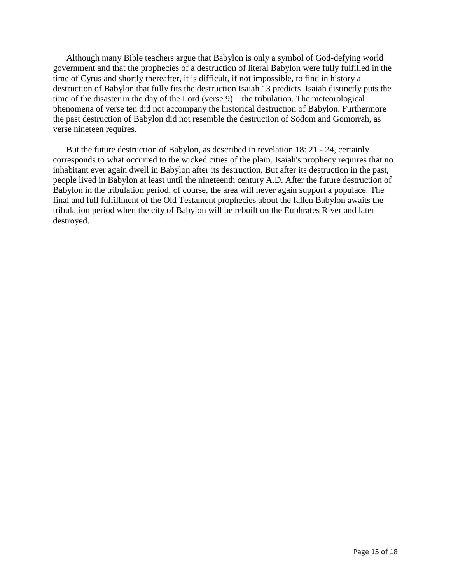Although many Bible teachers argue that Babylon is only a symbol of God-defying world government and that the prophecies of a destruction of literal Babylon were fully fulfilled in the time of Cyrus and shortly thereafter, it is difficult, if not impossible, to find in history a destruction of Babylon that fully fits the destruction Isaiah 13 predicts. Isaiah distinctly puts the time of the disaster in the day of the Lord (verse 9) – the tribulation. The meteorological phenomena of verse ten did not accompany the historical destruction of Babylon. Furthermore the past destruction of Babylon did not resemble the destruction of Sodom and Gomorrah, as verse nineteen requires.

But the future destruction of Babylon, as described in revelation 18: 21 - 24, certainly corresponds to what occurred to the wicked cities of the plain. Isaiah's prophecy requires that no inhabitant ever again dwell in Babylon after its destruction. But after its destruction in the past, people lived in Babylon at least until the nineteenth century A.D. After the future destruction of Babylon in the tribulation period, of course, the area will never again support a populace. The final and full fulfillment of the Old Testament prophecies about the fallen Babylon awaits the tribulation period when the city of Babylon will be rebuilt on the Euphrates River and later destroyed.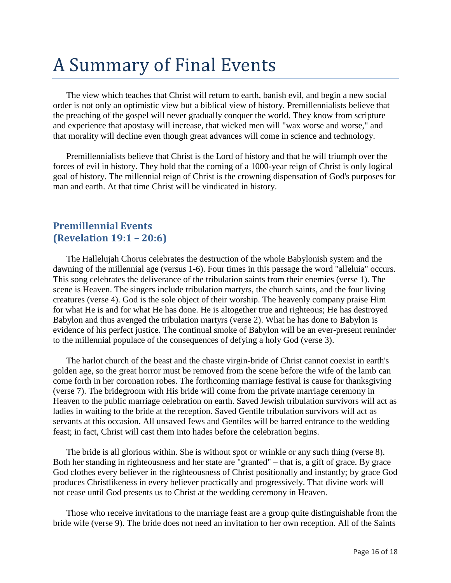# <span id="page-15-0"></span>A Summary of Final Events

The view which teaches that Christ will return to earth, banish evil, and begin a new social order is not only an optimistic view but a biblical view of history. Premillennialists believe that the preaching of the gospel will never gradually conquer the world. They know from scripture and experience that apostasy will increase, that wicked men will "wax worse and worse," and that morality will decline even though great advances will come in science and technology.

Premillennialists believe that Christ is the Lord of history and that he will triumph over the forces of evil in history. They hold that the coming of a 1000-year reign of Christ is only logical goal of history. The millennial reign of Christ is the crowning dispensation of God's purposes for man and earth. At that time Christ will be vindicated in history.

#### <span id="page-15-1"></span>**Premillennial Events (Revelation 19:1 – 20:6)**

The Hallelujah Chorus celebrates the destruction of the whole Babylonish system and the dawning of the millennial age (versus 1-6). Four times in this passage the word "alleluia" occurs. This song celebrates the deliverance of the tribulation saints from their enemies (verse 1). The scene is Heaven. The singers include tribulation martyrs, the church saints, and the four living creatures (verse 4). God is the sole object of their worship. The heavenly company praise Him for what He is and for what He has done. He is altogether true and righteous; He has destroyed Babylon and thus avenged the tribulation martyrs (verse 2). What he has done to Babylon is evidence of his perfect justice. The continual smoke of Babylon will be an ever-present reminder to the millennial populace of the consequences of defying a holy God (verse 3).

The harlot church of the beast and the chaste virgin-bride of Christ cannot coexist in earth's golden age, so the great horror must be removed from the scene before the wife of the lamb can come forth in her coronation robes. The forthcoming marriage festival is cause for thanksgiving (verse 7). The bridegroom with His bride will come from the private marriage ceremony in Heaven to the public marriage celebration on earth. Saved Jewish tribulation survivors will act as ladies in waiting to the bride at the reception. Saved Gentile tribulation survivors will act as servants at this occasion. All unsaved Jews and Gentiles will be barred entrance to the wedding feast; in fact, Christ will cast them into hades before the celebration begins.

The bride is all glorious within. She is without spot or wrinkle or any such thing (verse 8). Both her standing in righteousness and her state are "granted" – that is, a gift of grace. By grace God clothes every believer in the righteousness of Christ positionally and instantly; by grace God produces Christlikeness in every believer practically and progressively. That divine work will not cease until God presents us to Christ at the wedding ceremony in Heaven.

Those who receive invitations to the marriage feast are a group quite distinguishable from the bride wife (verse 9). The bride does not need an invitation to her own reception. All of the Saints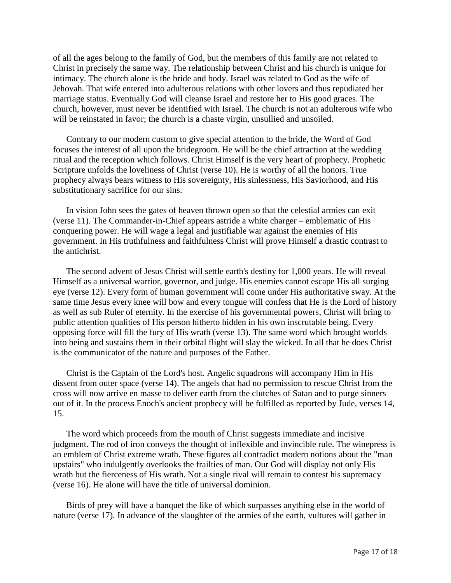of all the ages belong to the family of God, but the members of this family are not related to Christ in precisely the same way. The relationship between Christ and his church is unique for intimacy. The church alone is the bride and body. Israel was related to God as the wife of Jehovah. That wife entered into adulterous relations with other lovers and thus repudiated her marriage status. Eventually God will cleanse Israel and restore her to His good graces. The church, however, must never be identified with Israel. The church is not an adulterous wife who will be reinstated in favor; the church is a chaste virgin, unsullied and unsoiled.

Contrary to our modern custom to give special attention to the bride, the Word of God focuses the interest of all upon the bridegroom. He will be the chief attraction at the wedding ritual and the reception which follows. Christ Himself is the very heart of prophecy. Prophetic Scripture unfolds the loveliness of Christ (verse 10). He is worthy of all the honors. True prophecy always bears witness to His sovereignty, His sinlessness, His Saviorhood, and His substitutionary sacrifice for our sins.

In vision John sees the gates of heaven thrown open so that the celestial armies can exit (verse 11). The Commander-in-Chief appears astride a white charger – emblematic of His conquering power. He will wage a legal and justifiable war against the enemies of His government. In His truthfulness and faithfulness Christ will prove Himself a drastic contrast to the antichrist.

The second advent of Jesus Christ will settle earth's destiny for 1,000 years. He will reveal Himself as a universal warrior, governor, and judge. His enemies cannot escape His all surging eye (verse 12). Every form of human government will come under His authoritative sway. At the same time Jesus every knee will bow and every tongue will confess that He is the Lord of history as well as sub Ruler of eternity. In the exercise of his governmental powers, Christ will bring to public attention qualities of His person hitherto hidden in his own inscrutable being. Every opposing force will fill the fury of His wrath (verse 13). The same word which brought worlds into being and sustains them in their orbital flight will slay the wicked. In all that he does Christ is the communicator of the nature and purposes of the Father.

Christ is the Captain of the Lord's host. Angelic squadrons will accompany Him in His dissent from outer space (verse 14). The angels that had no permission to rescue Christ from the cross will now arrive en masse to deliver earth from the clutches of Satan and to purge sinners out of it. In the process Enoch's ancient prophecy will be fulfilled as reported by Jude, verses 14, 15.

The word which proceeds from the mouth of Christ suggests immediate and incisive judgment. The rod of iron conveys the thought of inflexible and invincible rule. The winepress is an emblem of Christ extreme wrath. These figures all contradict modern notions about the "man upstairs" who indulgently overlooks the frailties of man. Our God will display not only His wrath but the fierceness of His wrath. Not a single rival will remain to contest his supremacy (verse 16). He alone will have the title of universal dominion.

Birds of prey will have a banquet the like of which surpasses anything else in the world of nature (verse 17). In advance of the slaughter of the armies of the earth, vultures will gather in